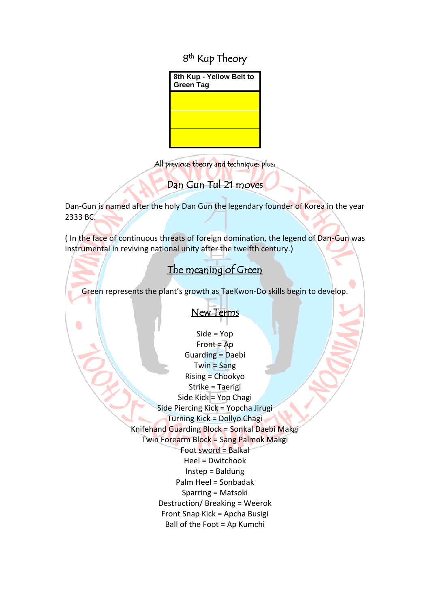8<sup>th</sup> Kup Theory



All previous theory and techniques plus:

### j Dan Gun Tul 21 moves

Dan-Gun is named after the holy Dan Gun the legendary founder of Korea in the year 2333 BC.

( In the face of continuous threats of foreign domination, the legend of Dan-Gun was instrumental in reviving national unity after the twelfth century.)

### i The meaning of Green

Green represents the plant's growth as TaeKwon-Do skills begin to develop.

# New Terms

Side = Yop  $Front = Ap$ Guarding = Daebi Twin = Sang Rising = Chookyo Strike = Taerigi Side Kick = Yop Chagi Side Piercing Kick = Yopcha Jirugi Turning Kick = Dollyo Chagi Knifehand Guarding Block = Sonkal Daebi Makgi Twin Forearm Block = Sang Palmok Makgi Foot sword = Balkal Heel = Dwitchook Instep = Baldung Palm Heel = Sonbadak Sparring = Matsoki Destruction/ Breaking = Weerok Front Snap Kick = Apcha Busigi Ball of the Foot = Ap Kumchi